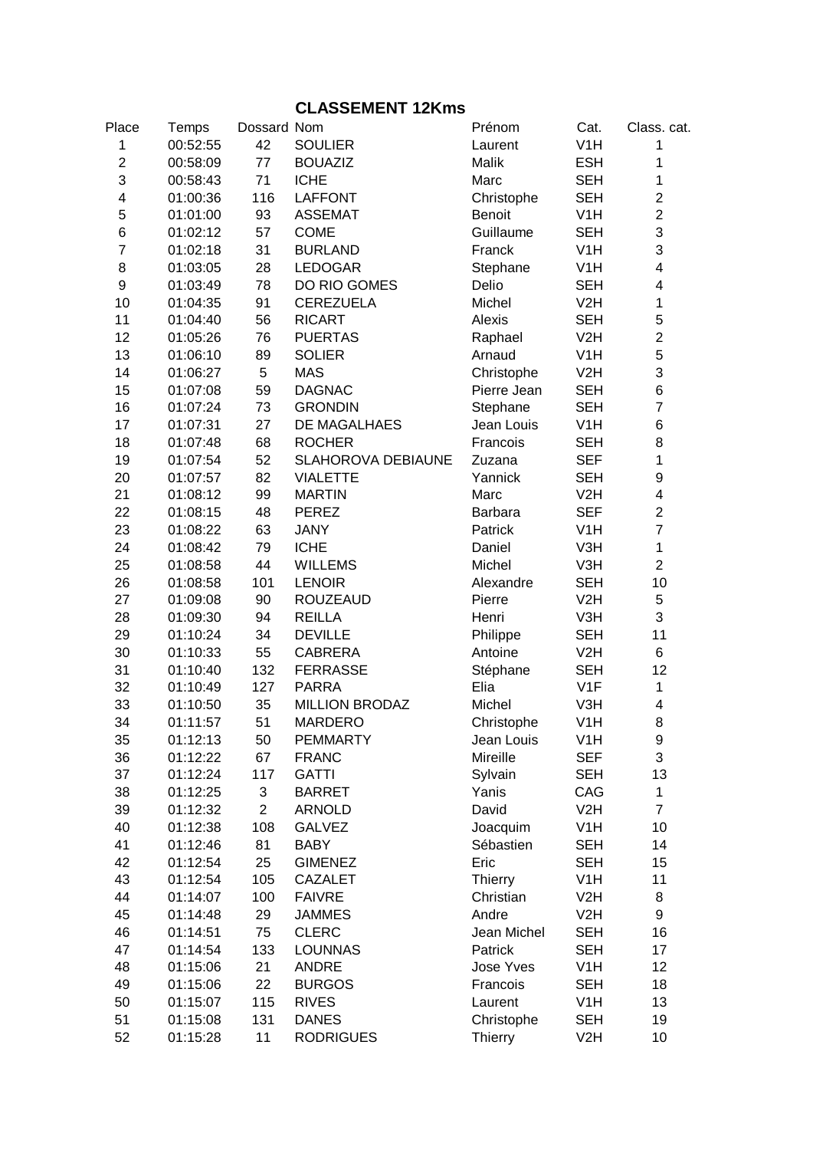## **CLASSEMENT 12Kms**

| Place            | Temps    | Dossard Nom    |                           | Prénom           | Cat.             | Class. cat.             |
|------------------|----------|----------------|---------------------------|------------------|------------------|-------------------------|
| 1                | 00:52:55 | 42             | <b>SOULIER</b>            | Laurent          | V <sub>1</sub> H | $\mathbf{1}$            |
| $\overline{2}$   | 00:58:09 | 77             | <b>BOUAZIZ</b>            | Malik            | <b>ESH</b>       | $\mathbf{1}$            |
| 3                | 00:58:43 | 71             | <b>ICHE</b>               | Marc             | <b>SEH</b>       | $\mathbf{1}$            |
| 4                | 01:00:36 | 116            | <b>LAFFONT</b>            | Christophe       | <b>SEH</b>       | $\overline{c}$          |
| $\mathbf 5$      | 01:01:00 | 93             | <b>ASSEMAT</b>            | <b>Benoit</b>    | V <sub>1</sub> H | $\overline{c}$          |
| $\,6$            | 01:02:12 | 57             | <b>COME</b>               | Guillaume        | <b>SEH</b>       | 3                       |
| $\overline{7}$   | 01:02:18 | 31             | <b>BURLAND</b>            | Franck           | V <sub>1</sub> H | 3                       |
| $\bf 8$          | 01:03:05 | 28             | <b>LEDOGAR</b>            | Stephane         | V <sub>1</sub> H | $\overline{\mathbf{4}}$ |
| $\boldsymbol{9}$ | 01:03:49 | 78             | DO RIO GOMES              | Delio            | <b>SEH</b>       | $\overline{\mathbf{4}}$ |
| 10               | 01:04:35 | 91             | <b>CEREZUELA</b>          | Michel           | V2H              | $\mathbf 1$             |
| 11               | 01:04:40 | 56             | <b>RICART</b>             | Alexis           | <b>SEH</b>       | 5                       |
| 12               | 01:05:26 | 76             | <b>PUERTAS</b>            | Raphael          | V <sub>2</sub> H | $\overline{c}$          |
| 13               | 01:06:10 | 89             | <b>SOLIER</b>             | Arnaud           | V <sub>1</sub> H | 5                       |
| 14               | 01:06:27 | 5              | <b>MAS</b>                | Christophe       | V2H              | 3                       |
| 15               | 01:07:08 | 59             | <b>DAGNAC</b>             | Pierre Jean      | <b>SEH</b>       | 6                       |
| 16               | 01:07:24 | 73             | <b>GRONDIN</b>            |                  | <b>SEH</b>       | $\overline{7}$          |
|                  |          |                | DE MAGALHAES              | Stephane         | V1H              |                         |
| 17               | 01:07:31 | 27             |                           | Jean Louis       |                  | 6                       |
| 18               | 01:07:48 | 68             | <b>ROCHER</b>             | Francois         | <b>SEH</b>       | 8                       |
| 19               | 01:07:54 | 52             | <b>SLAHOROVA DEBIAUNE</b> | Zuzana           | <b>SEF</b>       | $\mathbf 1$             |
| 20               | 01:07:57 | 82             | <b>VIALETTE</b>           | Yannick          | <b>SEH</b>       | 9                       |
| 21               | 01:08:12 | 99             | <b>MARTIN</b>             | Marc             | V2H              | 4                       |
| 22               | 01:08:15 | 48             | <b>PEREZ</b>              | <b>Barbara</b>   | <b>SEF</b>       | $\overline{2}$          |
| 23               | 01:08:22 | 63             | <b>JANY</b>               | Patrick          | V <sub>1</sub> H | $\overline{7}$          |
| 24               | 01:08:42 | 79             | <b>ICHE</b>               | Daniel           | V3H              | $\mathbf{1}$            |
| 25               | 01:08:58 | 44             | <b>WILLEMS</b>            | Michel           | V3H              | $\overline{2}$          |
| 26               | 01:08:58 | 101            | <b>LENOIR</b>             | Alexandre        | <b>SEH</b>       | 10                      |
| 27               | 01:09:08 | 90             | <b>ROUZEAUD</b>           | Pierre           | V2H              | 5                       |
| 28               | 01:09:30 | 94             | <b>REILLA</b>             | Henri            | V3H              | 3                       |
| 29               | 01:10:24 | 34             | <b>DEVILLE</b>            | Philippe         | <b>SEH</b>       | 11                      |
| 30               | 01:10:33 | 55             | <b>CABRERA</b>            | Antoine          | V2H              | 6                       |
| 31               | 01:10:40 | 132            | <b>FERRASSE</b>           | Stéphane         | <b>SEH</b>       | 12                      |
| 32               | 01:10:49 | 127            | <b>PARRA</b>              | Elia             | V <sub>1</sub> F | $\mathbf 1$             |
| 33               | 01:10:50 | 35             | <b>MILLION BRODAZ</b>     | Michel           | V3H              | 4                       |
| 34               | 01:11:57 | 51             | <b>MARDERO</b>            | Christophe       | V1H              | 8                       |
| 35               | 01:12:13 | 50             | <b>PEMMARTY</b>           | Jean Louis       | V <sub>1</sub> H | 9                       |
| 36               | 01:12:22 | 67             | <b>FRANC</b>              | Mireille         | <b>SEF</b>       | 3                       |
| 37               | 01:12:24 | 117            | <b>GATTI</b>              | Sylvain          | <b>SEH</b>       | 13                      |
| 38               | 01:12:25 | 3              | <b>BARRET</b>             | Yanis            | CAG              | $\mathbf{1}$            |
| 39               | 01:12:32 | $\overline{2}$ | <b>ARNOLD</b>             | David            | V2H              | $\overline{7}$          |
| 40               | 01:12:38 | 108            | <b>GALVEZ</b>             | Joacquim         | V <sub>1</sub> H | 10                      |
| 41               | 01:12:46 | 81             | <b>BABY</b>               | Sébastien        | <b>SEH</b>       | 14                      |
| 42               | 01:12:54 | 25             | <b>GIMENEZ</b>            | Eric             | <b>SEH</b>       | 15                      |
| 43               | 01:12:54 | 105            | <b>CAZALET</b>            | <b>Thierry</b>   | V <sub>1</sub> H | 11                      |
| 44               | 01:14:07 | 100            | <b>FAIVRE</b>             | Christian        | V2H              | 8                       |
| 45               | 01:14:48 | 29             | <b>JAMMES</b>             | Andre            | V2H              | 9                       |
| 46               | 01:14:51 | 75             | <b>CLERC</b>              | Jean Michel      | <b>SEH</b>       | 16                      |
| 47               | 01:14:54 | 133            | <b>LOUNNAS</b>            | Patrick          | <b>SEH</b>       | 17                      |
| 48               | 01:15:06 | 21             | <b>ANDRE</b>              | <b>Jose Yves</b> | V <sub>1</sub> H | 12                      |
| 49               | 01:15:06 | 22             | <b>BURGOS</b>             | Francois         | <b>SEH</b>       | 18                      |
| 50               | 01:15:07 | 115            | <b>RIVES</b>              | Laurent          | V <sub>1</sub> H | 13                      |
| 51               | 01:15:08 | 131            | <b>DANES</b>              | Christophe       | <b>SEH</b>       | 19                      |
|                  |          |                |                           |                  |                  |                         |
| 52               | 01:15:28 | 11             | <b>RODRIGUES</b>          | <b>Thierry</b>   | V <sub>2</sub> H | 10                      |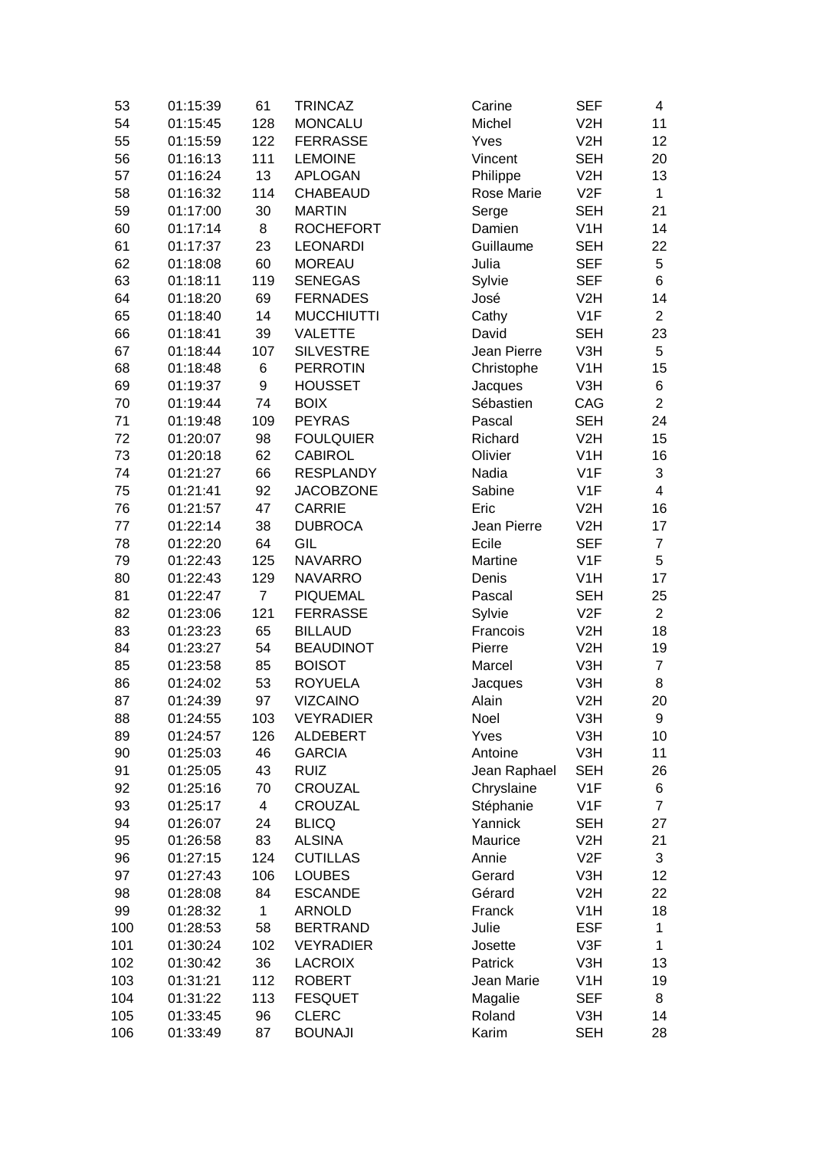| 53  | 01:15:39 | 61             | <b>TRINCAZ</b>    | Carine       | <b>SEF</b>       | 4                       |
|-----|----------|----------------|-------------------|--------------|------------------|-------------------------|
| 54  | 01:15:45 | 128            | <b>MONCALU</b>    | Michel       | V <sub>2</sub> H | 11                      |
| 55  | 01:15:59 | 122            | <b>FERRASSE</b>   | Yves         | V <sub>2</sub> H | 12                      |
| 56  | 01:16:13 | 111            | <b>LEMOINE</b>    | Vincent      | <b>SEH</b>       | 20                      |
| 57  | 01:16:24 | 13             | <b>APLOGAN</b>    | Philippe     | V2H              | 13                      |
| 58  | 01:16:32 | 114            | <b>CHABEAUD</b>   | Rose Marie   | V2F              | $\mathbf{1}$            |
| 59  | 01:17:00 | 30             | <b>MARTIN</b>     | Serge        | <b>SEH</b>       | 21                      |
| 60  | 01:17:14 | 8              | <b>ROCHEFORT</b>  | Damien       | V <sub>1</sub> H | 14                      |
| 61  | 01:17:37 | 23             | <b>LEONARDI</b>   | Guillaume    | <b>SEH</b>       | 22                      |
| 62  | 01:18:08 | 60             | <b>MOREAU</b>     | Julia        | <b>SEF</b>       | 5                       |
| 63  | 01:18:11 | 119            | <b>SENEGAS</b>    | Sylvie       | <b>SEF</b>       | 6                       |
| 64  | 01:18:20 | 69             | <b>FERNADES</b>   | José         | V2H              | 14                      |
| 65  | 01:18:40 | 14             | <b>MUCCHIUTTI</b> | Cathy        | V <sub>1</sub> F | $\overline{2}$          |
| 66  | 01:18:41 | 39             | <b>VALETTE</b>    | David        | <b>SEH</b>       | 23                      |
| 67  | 01:18:44 | 107            | <b>SILVESTRE</b>  | Jean Pierre  | V3H              | 5                       |
| 68  | 01:18:48 | 6              | <b>PERROTIN</b>   | Christophe   | V <sub>1</sub> H | 15                      |
| 69  | 01:19:37 | 9              | <b>HOUSSET</b>    | Jacques      | V3H              | 6                       |
| 70  | 01:19:44 | 74             | <b>BOIX</b>       | Sébastien    | CAG              | $\overline{2}$          |
| 71  | 01:19:48 | 109            | <b>PEYRAS</b>     | Pascal       | <b>SEH</b>       | 24                      |
| 72  | 01:20:07 | 98             | <b>FOULQUIER</b>  | Richard      | V2H              | 15                      |
| 73  | 01:20:18 | 62             | <b>CABIROL</b>    | Olivier      | V <sub>1</sub> H | 16                      |
| 74  | 01:21:27 | 66             | <b>RESPLANDY</b>  | Nadia        | V1F              | 3                       |
| 75  | 01:21:41 | 92             | <b>JACOBZONE</b>  | Sabine       | V1F              | $\overline{\mathbf{4}}$ |
| 76  | 01:21:57 | 47             | <b>CARRIE</b>     | Eric         | V <sub>2</sub> H | 16                      |
| 77  | 01:22:14 | 38             | <b>DUBROCA</b>    | Jean Pierre  | V <sub>2</sub> H | 17                      |
| 78  | 01:22:20 | 64             | GIL               | Ecile        | <b>SEF</b>       | $\overline{7}$          |
| 79  | 01:22:43 | 125            | <b>NAVARRO</b>    | Martine      | V <sub>1</sub> F | 5                       |
|     |          |                |                   |              |                  |                         |
| 80  | 01:22:43 | 129            | <b>NAVARRO</b>    | Denis        | V <sub>1</sub> H | 17                      |
| 81  | 01:22:47 | $\overline{7}$ | <b>PIQUEMAL</b>   | Pascal       | <b>SEH</b>       | 25                      |
| 82  | 01:23:06 | 121            | <b>FERRASSE</b>   | Sylvie       | V2F              | $\overline{2}$          |
| 83  | 01:23:23 | 65             | <b>BILLAUD</b>    | Francois     | V <sub>2</sub> H | 18                      |
| 84  | 01:23:27 | 54             | <b>BEAUDINOT</b>  | Pierre       | V <sub>2</sub> H | 19                      |
| 85  | 01:23:58 | 85             | <b>BOISOT</b>     | Marcel       | V3H              | $\overline{7}$          |
| 86  | 01:24:02 | 53             | <b>ROYUELA</b>    | Jacques      | V3H              | 8                       |
| 87  | 01:24:39 | 97             | <b>VIZCAINO</b>   | Alain        | V <sub>2</sub> H | 20                      |
| 88  | 01:24:55 | 103            | <b>VEYRADIER</b>  | Noel         | V3H              | 9                       |
| 89  | 01:24:57 | 126            | <b>ALDEBERT</b>   | Yves         | V3H              | 10                      |
| 90  | 01:25:03 | 46             | <b>GARCIA</b>     | Antoine      | V3H              | 11                      |
| 91  | 01:25:05 | 43             | <b>RUIZ</b>       | Jean Raphael | <b>SEH</b>       | 26                      |
| 92  | 01:25:16 | 70             | CROUZAL           | Chryslaine   | V <sub>1</sub> F | 6                       |
| 93  | 01:25:17 | 4              | <b>CROUZAL</b>    | Stéphanie    | V <sub>1</sub> F | $\overline{7}$          |
| 94  | 01:26:07 | 24             | <b>BLICQ</b>      | Yannick      | <b>SEH</b>       | 27                      |
| 95  | 01:26:58 | 83             | <b>ALSINA</b>     | Maurice      | V <sub>2</sub> H | 21                      |
| 96  | 01:27:15 | 124            | <b>CUTILLAS</b>   | Annie        | V2F              | 3                       |
| 97  | 01:27:43 | 106            | <b>LOUBES</b>     | Gerard       | V3H              | 12                      |
| 98  | 01:28:08 | 84             | <b>ESCANDE</b>    | Gérard       | V2H              | 22                      |
| 99  | 01:28:32 | $\mathbf{1}$   | <b>ARNOLD</b>     | Franck       | V <sub>1</sub> H | 18                      |
| 100 | 01:28:53 | 58             | <b>BERTRAND</b>   | Julie        | <b>ESF</b>       | $\mathbf{1}$            |
| 101 | 01:30:24 | 102            | <b>VEYRADIER</b>  | Josette      | V3F              | 1                       |
| 102 | 01:30:42 | 36             | <b>LACROIX</b>    | Patrick      | V3H              | 13                      |
| 103 | 01:31:21 | 112            | <b>ROBERT</b>     | Jean Marie   | V <sub>1</sub> H | 19                      |
| 104 | 01:31:22 | 113            | <b>FESQUET</b>    | Magalie      | <b>SEF</b>       | 8                       |
| 105 | 01:33:45 | 96             | <b>CLERC</b>      | Roland       | V3H              | 14                      |
| 106 | 01:33:49 | 87             | <b>BOUNAJI</b>    | Karim        | <b>SEH</b>       | 28                      |